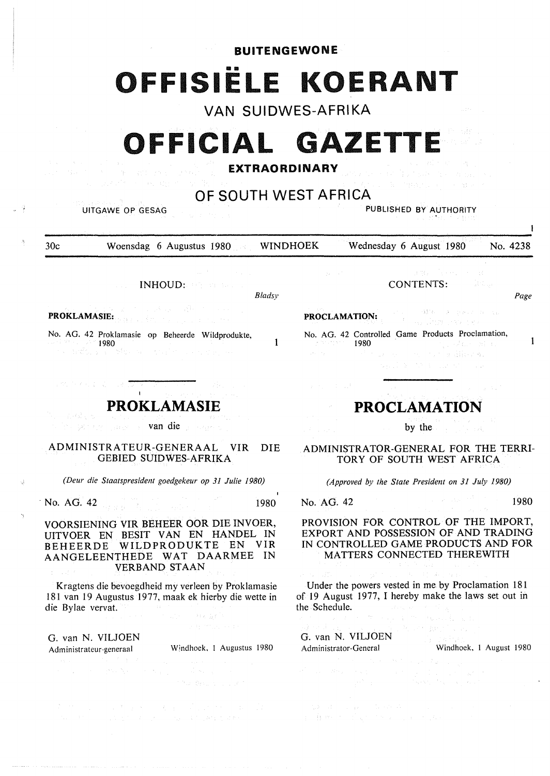**BUITENGEWONE** 

# **111111 OFFISIELE KOERANT**

**VAN SUIDWES-AFRIKA** 

# **OFFICIAL GAZETT**

# **EXTRAORDINARY**

# **OF SOUTH WEST AFRICA**

UITGAWE OP GESAG PUBLISHED BY AUTHORITY

30c Woensdag 6 Augustus 1980 WINDHOEK Wednesday 6 August 1980 No. 4238

INHOUD:

*Bladsy* 

1

**PROKLAMASIE:** 

No. AG. 42 Proklamasie op Beheerde Wildprodukte, 1980<br>1980 - Paris

**PROKLAMASIE** 

van die gewone van die gewone

ADMINISTRATEUR-GENERAAL VIR DIE GEBIED SUIDWES-AFRIKA

*(Deur die Staatspresident goedgekeur op 31 Julie 1980)* 

**·No. AG. 42** 1980

**VOORSIENING VIR BEHEER OOR DIE INVOER, UITVOER EN BESIT VAN EN HANDEL IN BEHEERDE WILDPRODUKTE EN VIR AANGELEENTHEDE WAT DAARMEE IN VERBAND STAAN** 

Kragtens die bevoegdheid my verleen by Proklamasie I 81 van 19 Augustus 1977, maak ek hierby die wette in die Bylae vervat.  $\lambda$  (  $\mu$  ,  $\lambda$  )

G. van N. VILJOEN Administrateur-generaal Windhoek, I Augustus 1980

CONTENTS:

**SBW Figurer Service PROCLAMATION:** 

No. AG. 42 Controlled Game Products Proclamation, 1980 an and a director signal of the Control and

# **PROCLAMATION**

by the

ADMINISTRATOR-GENERAL FOR THE TERRI-TORY OF SOUTH WEST AFRICA

*(Approved by the State President on 31 July 1980)* 

No. AG. 42 1980

*Page* 

 $\mathbf{1}$ 

PROVISION FOR CONTROL OF THE IMPORT, EXPORT AND POSSESSION OF AND TRADING IN CONTROLLED GAME PRODUCTS AND FOR MATTERS CONNECTED THEREWITH

Under the powers vested in me by Proclamation 181 of 19 August 1977, I hereby make the laws set out in the Schedule.

10517

G. van N. VILJOEN Administrator-General Windhoek, I August 1980

 $\begin{split} \frac{d\mathbf{y}}{dt} &\geq \frac{d\mathbf{y}}{dt} \left[ \begin{array}{cc} \mathbf{y} & \mathbf{y} & \mathbf{y} \\ \mathbf{y} & \mathbf{y} \\ \mathbf{y} & \mathbf{y} \end{array} \right] = \frac{d\mathbf{y}}{dt} \left[ \begin{array}{cc} \mathbf{y} & \mathbf{y} & \mathbf{y} \\ \mathbf{y} & \mathbf{y} \end{array} \right] = \frac{d\mathbf{y}}{dt} \left[ \begin{array}{cc} \mathbf{y} & \mathbf{y} \\ \mathbf{y} & \mathbf{y} \end$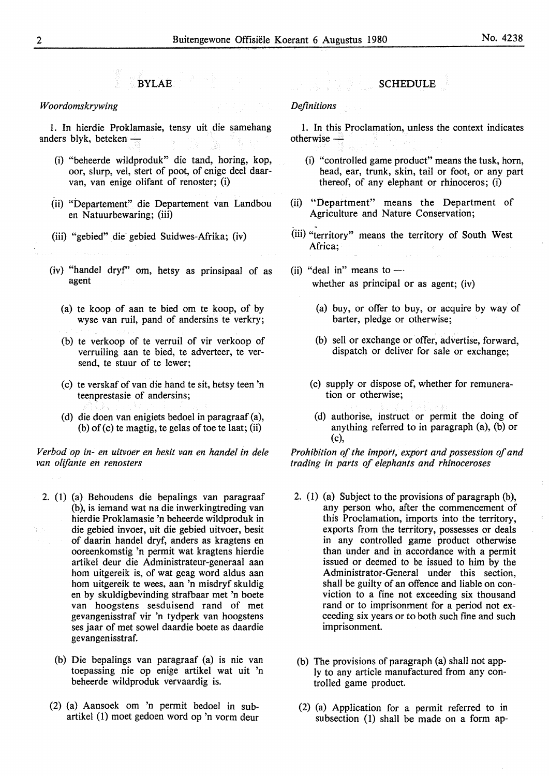## **BYLAE**

#### *Woordomskrywing*

1. In hierdie Proklamasie, tensy uit die samehang anders blyk, beteken -

- (i) "beheerde wildproduk" die tand, horing, kop, oor, slurp, vel, stert of poot, of enige deel daarvan, van enige olifant of renoster; (i)
- (ii) "Departement" die Departement van Landbou en Natuurbewaring; (iii)
- (iii) "gebied" die gebied Suidwes-Afrika; (iv)
- (iv) "handel dryf'' om, hetsy as prinsipaal of as agent
	- (a) te koop of aan te hied om te koop, of by wyse van ruil, pand of andersins te verkry;
	- (b) te verkoop of te verruil of vir verkoop of verruiling aan te hied, te adverteer, te versend, te stuur of te lewer;
	- (c) te verskaf of van die hand te sit, hetsy teen 'n teenprestasie of andersins;
	- (d) die doen van enigiets bedoel in paragraaf (a),  $(b)$  of  $(c)$  te magtig, te gelas of toe te laat;  $(ii)$

*Verbod op in- en uitvoer en besit van en handel in dele van olifante en renosters* 

- 2. (I) (a) Behoudens die bepalings van paragraaf (b), is iemand wat na die inwerkingtreding van hierdie Proklamasie 'n beheerde wildproduk in die gebied invoer, uit die gebied uitvoer, besit of daarin handel dryf, anders as kragtens en ooreenkomstig 'n permit wat kragtens hierdie artikel deur die Administrateur-generaal aan horn uitgereik is, of wat geag word aldus aan horn uitgereik te wees, aan 'n misdryf skuldig en by skuldigbevinding strafbaar met 'n boete van hoogstens sesduisend rand of met gevangenisstraf vir 'n tydperk van hoogstens ses jaar of met sowel daardie boete as daardie gevangenisstraf.
	- (b) Die bepalings van paragraaf (a) is nie van toepassing nie op enige artikel wat uit 'n beheerde wildproduk vervaardig is.
	- (2) (a) Aansoek om 'n permit bedoel in subartikel (1) moet gedoen word op 'n vorm deur

## **SCHEDULE**

### *Definitions*

1. In this Proclamation, unless the context indicates  $otherwise -$ 

- (i) "controlled game product" means the tusk, horn, head, ear, trunk, skin, tail or foot, or any part thereof, of any elephant or rhinoceros; (i)
- (ii) ''Department" means the Department of Agriculture and Nature Conservation;
- (iii) "territory" means the territory of South West Africa;
- (ii) "deal in" means to  $$ whether as principal or as agent; (iv)
	- (a) buy, or offer to buy, or acquire by way of barter, pledge or otherwise;
	- (b) sell or exchange or offer, advertise, forward, dispatch or deliver for sale or exchange;
	- (c) supply or dispose of, whether for remuneration or otherwise;
		- (d) authorise, instruct or permit the doing of anything referred to in paragraph (a), (b) or (c),

*Prohibition of the import, export and possession of and trading in parts of elephants and rhinoceroses* 

- 2. (1) (a) Subject to the provisions of paragraph (b), any person who, after the commencement of this Proclamation, imports into the territory, exports from the territory, possesses or deals in any controlled game product otherwise than under and in accordance with a permit issued or deemed to be issued to him by the Administrator-General under this section, shall be guilty of an offence and liable on conviction to a fine not exceeding six thousand rand or to imprisonment for a period not exceeding six years or to both such fine and such imprisonment.
- (b) The provisions of paragraph (a) shall not apply to any article manufactured from any controlled game product.
- (2) (a) Application for a permit referred to in subsection (1) shall be made on a form ap-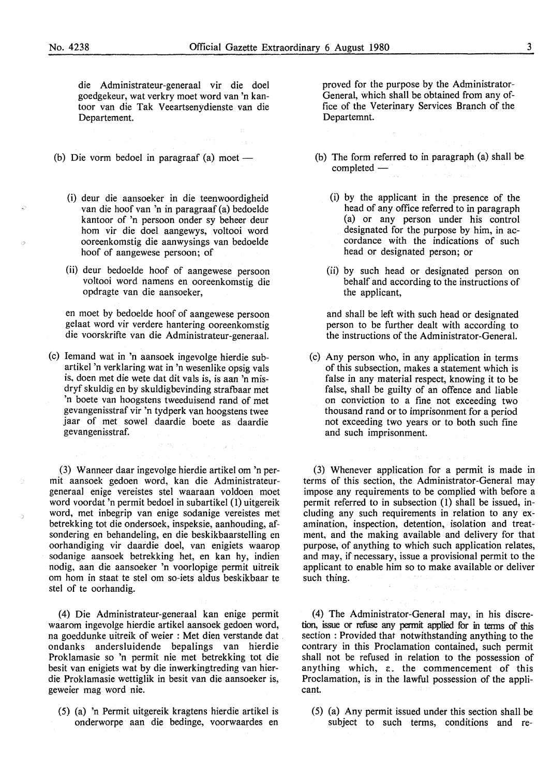die Administrateur-generaal vir die doel goedgekeur, wat verkry moet word van 'n kantoor van die Tak Veeartsenydienste van die Departement.

- (b) Die vorm bedoel in paragraaf  $(a)$  moet -
	- (i) deur die aansoeker in die teenwoordigheid van die hoof van 'n in paragraaf (a) bedoelde kantoor of 'n persoon onder sy beheer deur horn vir die doel aangewys, voltooi word ooreenkomstig die aanwysings van bedoelde hoof of aangewese persoon; of
	- (ii) deur bedoelde hoof of aangewese persoon voltooi word namens en ooreenkomstig die opdragte van die aansoeker,

en moet by bedoelde hoof of aangewese persoon gelaat word vir verdere bantering ooreenkomstig die voorskrifte van die Administrateur-generaal.

(c) Iemand wat in 'n aansoek ingevolge hierdie subartikel 'n verklaring wat in 'n wesenlike opsig vals is, doen met die wete dat dit vals is, is aan 'n misdryf skuldig en by skuldigbevinding strafbaar met 'n boete van hoogstens tweeduisend rand of met gevangenisstraf vir 'n tydperk van hoogstens twee jaar of met sowel daardie boete as daardie gevangenisstraf.

 $\label{eq:2.1} \mathcal{J}^{(1)}_{\mathcal{I}}(N_{\mathcal{I}}\otimes\mathcal{I}^{(1)}_{\mathcal{I}}) = \mathcal{J}^{(1)}_{\mathcal{I}}(1+\mathcal{J}^{(1)}_{\mathcal{I}})^{-1}$ 

(3) Wanneer daar ingevolge hierdie artikel om 'n permit aansoek gedoen word, kan die Administrateurgeneraal enige vereistes stel waaraan voldoen moet word voordat 'n permit bedoel in subartikel (1) uitgereik word, met inbegrip van enige sodanige vereistes met betrekking tot die ondersoek, inspeksie, aanhouding, afsondering en behandeling, en die beskikbaarstelling en oorhandiging vir daardie doel, van enigiets waarop sodanige aansoek betrekking het, en kan hy, indien nodig, aan die aansoeker 'n voorlopige permit uitreik om horn in staat te stel om so-iets aldus beskikbaar te stel of te oorhandig.

(4) Die Administrateur-generaal kan enige permit waarom ingevolge hierdie artikel aansoek gedoen word, na goeddunke uitreik of weier : Met dien verstande dat . ondanks andersluidende bepalings van hierdie Proklamasie so 'n permit nie met betrekking tot die besit van enigiets wat by die inwerkingtreding van hierdie Proklamasie wettiglik in besit van die aansoeker is, geweier mag word nie.

(5) (a) 'n Permit uitgereik kragtens hierdie artikel is onderworpe aan die bedinge, voorwaardes en proved for the purpose by the Administrator-General, which shall be obtained from any office of the Veterinary Services Branch of the Departemnt.

- (b) The form referred to in paragraph (a) shall be  $completed -$ 
	- (i) by the applicant in the presence of the head of any office referred to in paragraph (a) or any person under his control designated for the purpose by him, in accordance with the indications of such head or designated person; or
	- (ii) by such head or designated person on behalf and according to the instructions of the applicant,

and shall be left with such head or designated person to be further dealt with according to the instructions of the Administrator-General.

(c) Any person who, in any application in terms of this subsection, makes a statement which is false in any material respect, knowing it to be false, shall be guilty of an offence and liable on conviction to a fine not exceeding two thousand rand or to imprisonment for a period not exceeding two years or to both such fine and such imprisonment.

(3) Whenever application for a permit is made in terms of this section, the Administrator-General may impose any requirements to be complied with before a permit referred to in subsection (1) shall be issued, including any such requirements in relation to any examination, inspection, detention, isolation and treatment, and the making available and delivery for that purpose, of anything to which such application relates, and may, if necessary, issue a provisional permit to the applicant to enable him so to make available or deliver such thing.

(4) The Administrator-General may, in his discretion, issue or refuse any permit applied for in tenns of this section : Provided that notwithstanding anything to the contrary in this Proclamation contained, such permit shall not be refused in relation to the possession of anything which,  $\epsilon$ . the commencement of this Proclamation, is in the lawful possession of the applicant.

(5) (a) Any permit issued under this section shall be subject to such terms, conditions and re-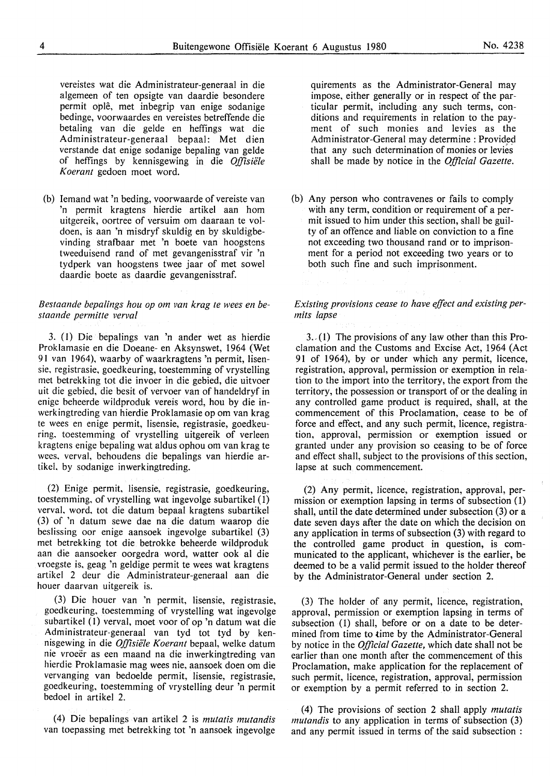vereistes wat die Administrateur-generaal in die algemeen of ten opsigte van daardie besondere permit ople, met inbegrip van enige sodanige bedinge, voorwaardes en vereistes betreffende die betaling van die gelde en heffings wat die Administrateur-generaal bepaal: Met dien verstande dat enige sodanige bepaling van gelde of heffings by kennisgewing in die *Offisie'le Koerant* gedoen moet word.

(b) Iemand wat 'n beding, voorwaarde of vereiste van 'n permit kragtens hierdie artikel aan horn uitgereik, oortree of versuim om daaraan te voldoen, is aan 'n misdryf skuldig en by skuldigbevinding strafbaar met 'n boete van hoogstens tweeduisend rand of met gevangenisstraf vir 'n tydperk van hoogstens twee jaar of met sowel daardie boete as daardie gevangenisstraf.

#### *Bestaande bepa/ings hou op om van krag te wees en bestaande permitte verval*

3. ( I) Die bepalings van 'n ander wet as hierdie Proklamasie en die Doeane- en Aksynswet, 1964 (Wet 91 van 1964), waarby of waarkragtens 'n permit, Iisensie, registrasie, goedkeuring, toestemming of vrystelling met betrekking tot die invoer in die gebied, die uitvoer uit die gebied, die besit of vervoer van of handeldryf in enige beheerde wildproduk vereis word, hou by die inwerkingtreding van hierdie Proklamasie op om van krag te wees en enige permit, lisensie, registrasie, goedkeuring, toestemming of vrystelling uitgereik of verleen kragtens enige bepaling wat aldus ophou om van krag te wees, verval, behoudens die bepalings van hierdie artikel. by sodanige inwerkingtreding.

(2) Enige permit, lisensie, registrasie, goedkeuring, toestemming, of vrystelling wat ingevolge subartikel (I) verval. word, tot die datum bepaal kragtens subartikel (3) of 'n datum sewe dae na die datum waarop die beslissing oor enige aansoek ingevolge subartikel (3) met betrekking tot die betrokke beheerde wildproduk aan die aansoeker oorgedra word, watter ook al die vroegste is, geag 'n geldige permit te wees wat kragtens artikel 2 deur die Administrateur-generaal aan die houer daarvan uitgereik is.

(3) Die houer van 'n permit, lisensie, registrasie, goedkeuring, toestemming of vrystelling wat ingevolge subartikel (I) verval, moet voor of op 'n datum wat die Administrateur-generaal van tyd tot tyd by kennisgewing in die *Offisiële Koerant* bepaal, welke datum nie vroeer as een maand na die inwerkingtreding van hierdie Proklamasie mag wees nie, aansoek doen om die vervanging van bedoelde permit, lisensie, registrasie, goedkeuring, toestemming of vrystelling deur 'n permit bedoel in artikel 2.

(4) Die bepalings van artikel 2 is *mutatis mutandis*  van toepassing met betrekking tot 'n aansoek ingevolge quirements as the Administrator-General may impose, either generally or in respect of the particular permit, including any such terms, conditions and requirements in relation to the payment of such monies and levies as the Administrator-General may determine: Provided that any such determination of monies or levies shall be made by notice in the *Official Gazette.* 

(b) Any person who contravenes or fails to comply with any term, condition or requirement of a permit issued to him under this section, shall be guilty of an offence and liable on conviction to a fine not exceeding two thousand rand or to imprisonment for a period not exceeding two years or to both such fine and such imprisonment.

### *Existing provisions cease to have effect and existing permits lapse*

3.,(1) The provisions of any law other than this Proclamation and the Customs and Excise Act, 1964 (Act 91 of 1964), by or under which any permit, licence, registration, approval, permission or exemption in relation to the import into the territory, the export from the territory, the possession or transport of or the dealing in any controlled game product is required, shall, at the commencement of this Proclamation, cease to be of force and effect, and any such permit, licence, registration, approval, permission or exemption issued or granted under any provision so ceasing to be of force and effect shall, subject to the provisions of this section, lapse at such commencement.

(2) Any permit, licence, registration, approval, permission or exemption lapsing in terms of subsection (1) shall, until the date determined under subsection (3) or a date seven days after the date on which the decision on any application in terms of subsection (3) with regard to the controlled game product in question, is communicated to the applicant, whichever is the earlier, be deemed to be a valid permit issued to the holder thereof by the Administrator-General under section 2.

(3) The holder of any permit, licence, registration, approval, permission or exemption lapsing in terms of subsection (1) shall, before or on a date to be determined from time to time by the Administrator-General by notice in the *Official Gazette,* which date shall not be earlier than one month after the commencement of this Proclamation, make application for the replacement of such permit, licence, registration, approval, permission or exemption by a permit referred to in section 2.

(4) The provisions of section 2 shall apply *mutatis mutandis* to any application in terms of subsection (3) and any permit issued in terms of the said subsection :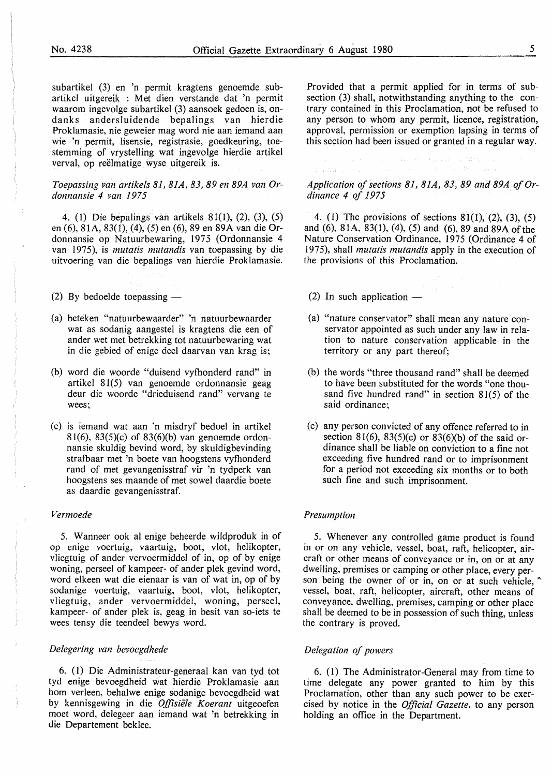subartikel (3) en 'n permit kragtens genoemde subartikel uitgereik : Met dien verstande dat 'n permit waarom ingevolge subartikel (3) aansoek gedoen is, ondanks andersluidende bepalings van hierdie Proklamasie, nie geweier mag word nie aan iemand aan wie 'n permit, lisensie, registrasie, goedkeuring, toestemming of vrystelling wat ingevolge hierdie artikel verval, op reëlmatige wyse uitgereik is.

#### *Toepassing van artikels 81, 81A, 83, 89 en 89A van Ordonnansie 4 van 1975*

4. (1) Die bepalings van artikels 81(1), (2), (3), (5) en (6), 81A, 83(1), (4), (5) en (6), 89 en 89A van die Ordonnansie op Natuurbewaring, 1975 (Ordonnansie 4 van I 975), is *mutatis mutandis* van toepassing by die uitvoering van die bepalings van hierdie Proklamasie.

(2) By bedoelde toepassing  $-$ 

- (a) beteken "natuurbewaarder" 'n natuurbewaarder wat as sodanig aangestel is kragtens die een of ander wet met betrekking tot natuurbewaring wat in die gebied of enige deel daarvan van krag is;
- (b) word die woorde "duisend vyfhonderd rand" in artikel 81(5) van genoemde ordonnansie geag deur die woorde "drieduisend rand" vervang te wees;
- (c) is iemand wat aan 'n misdryf bedoel in artikel 81(6), 83(5)(c) of 83(6)(b) van genoemde ordonnansie skuldig bevind word, by skuldigbevinding strafbaar met 'n boete van hoogstens vyfhonderd rand of met gevangenisstraf vir 'n tydperk van hoogstens ses maande of met sowel daardie boete as daardie gevangenisstraf.

#### *Vermoede*

5. W anneer ook al enige beheerde wildproduk in of op enige voertuig, vaartuig, boot, vlot, helikopter, vliegtuig of ander vervoermiddel of in, op of by enige woning, perseel of kampeer- of ander plek gevind word, word elkeen wat die eienaar is van of wat in, op of by sodanige voertuig, vaartuig, boot, vlot, helikopter, vliegtuig, ander vervoermiddel, woning, perseel, kampeer- of ander plek is, geag in besit van so-iets te wees tensy die teendeel bewys word.

#### *Delegering van bevoegdhede*

6. ( 1) Die Administrateur-generaal kan van tyd tot tyd enige bevoegdheid wat hierdie Proklamasie aan horn verleen, behalwe enige sodanige bevoegdheid wat by kennisgewing in die *Offisie1e Koerant* uitgeoefen moet word, delegeer aan iemand wat 'n betrekking in die Departement beklee.

Provided that a permit applied for in terms of subsection (3) shall, notwithstanding anything to the contrary contained in this Proclamation, not be refused to any person to whom any permit, licence, registration, approval, permission or exemption lapsing in terms of this section had been issued or granted in a regular way.

*Application of sections 81, 81A, 83, 89 and 89A of Ordinance 4 of 1975* 

4. (1) The provisions of sections 81(1), (2), (3), (5) and (6), 81A, 83(1), (4), (5) and (6), 89 and 89A of the Nature Conservation Ordinance, 1975 (Ordinance 4 of 1975), shall *mutatis mutandis* apply in the execution of the provisions of this Proclamation.

- (2) In such application  $-$
- (a) "nature conservator" shall mean any nature conservator appointed as such under any law in relation to nature conservation applicable in the territory or any part thereof;
- (b) the words "three thousand rand" shall be deemed to have been substituted for the words "one thousand five hundred rand" in section 81(5) of the said ordinance;
- (c) any person convicted of any offence referred to in section 81(6), 83(5)(c) or 83(6)(b) of the said ordinance shall be liable on conviction to a fine not exceeding five hundred rand or to imprisonment for a period not exceeding six months or to both such fine and such imprisonment.

#### *Presumption*

5. Whenever any controlled game product is found in or on any vehicle, vessel, boat, raft, helicopter, aircraft or other means of conveyance or in, on or at any dwelling, premises or camping or other place, every person being the owner of or in, on or at such vehicle, vessel, boat, raft, helicopter, aircraft, other means of conveyance, dwelling, premises, camping or other place shall be deemed to be in possession of such thing, unless the contrary is proved.

#### *Delegation of powers*

6. ( 1) The Administrator-General may from time to time delegate any power granted to him by this Proclamation, other than any such power to be exercised by notice in the *Official Gazette,* to any person holding an office in the Department.